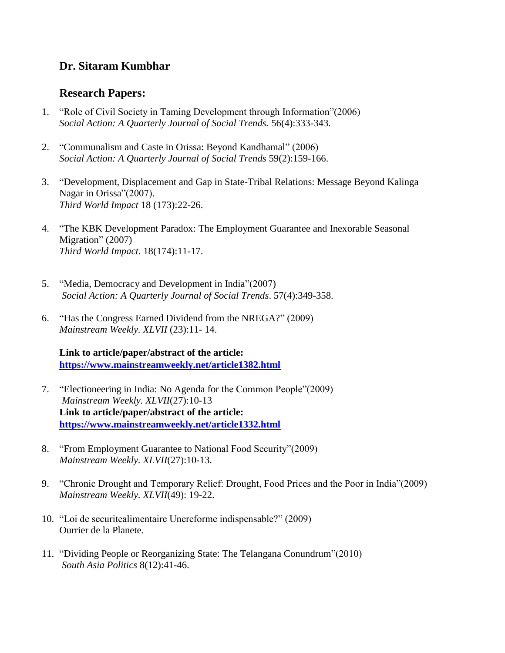# **Dr. Sitaram Kumbhar**

## **Research Papers:**

- 1. "Role of Civil Society in Taming Development through Information"(2006) *Social Action: A Quarterly Journal of Social Trends.* 56(4):333-343.
- 2. "Communalism and Caste in Orissa: Beyond Kandhamal" (2006) *Social Action: A Quarterly Journal of Social Trends* 59(2):159-166.
- 3. "Development, Displacement and Gap in State-Tribal Relations: Message Beyond Kalinga Nagar in Orissa"(2007). *Third World Impact* 18 (173):22-26.
- 4. "The KBK Development Paradox: The Employment Guarantee and Inexorable Seasonal Migration" (2007) *Third World Impact*. 18(174):11-17.
- 5. "Media, Democracy and Development in India"(2007) *Social Action: A Quarterly Journal of Social Trends*. 57(4):349-358.
- 6. "Has the Congress Earned Dividend from the NREGA?" (2009) *Mainstream Weekly. XLVII* (23):11- 14.

**Link to article/paper/abstract of the article: <https://www.mainstreamweekly.net/article1382.html>**

- 7. "Electioneering in India: No Agenda for the Common People"(2009) *Mainstream Weekly. XLVII*(27):10-13 **Link to article/paper/abstract of the article: <https://www.mainstreamweekly.net/article1332.html>**
- 8. "From Employment Guarantee to National Food Security"(2009) *Mainstream Weekly. XLVII*(27):10-13.
- 9. "Chronic Drought and Temporary Relief: Drought, Food Prices and the Poor in India"(2009) *Mainstream Weekly. XLVII*(49): 19-22.
- 10. "Loi de securitealimentaire Unereforme indispensable?" (2009) Ourrier de la Planete.
- 11. "Dividing People or Reorganizing State: The Telangana Conundrum"(2010) *South Asia Politics* 8(12):41-46.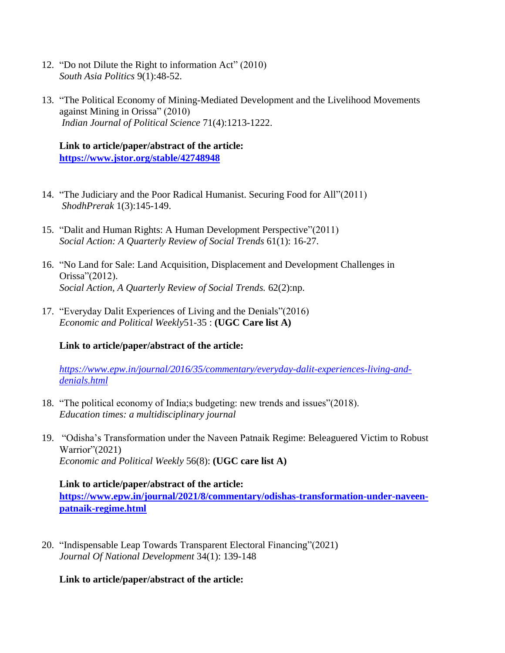- 12. "Do not Dilute the Right to information Act" (2010) *South Asia Politics* 9(1):48-52.
- 13. "The Political Economy of Mining-Mediated Development and the Livelihood Movements against Mining in Orissa" (2010) *Indian Journal of Political Science* 71(4):1213-1222.

### **Link to article/paper/abstract of the article: <https://www.jstor.org/stable/42748948>**

- 14. "The Judiciary and the Poor Radical Humanist. Securing Food for All"(2011) *ShodhPrerak* 1(3):145-149.
- 15. "Dalit and Human Rights: A Human Development Perspective"(2011) *Social Action: A Quarterly Review of Social Trends* 61(1): 16-27.
- 16. "No Land for Sale: Land Acquisition, Displacement and Development Challenges in Orissa"(2012). *Social Action, A Quarterly Review of Social Trends.* 62(2):np.
- 17. "Everyday Dalit Experiences of Living and the Denials"(2016) *Economic and Political Weekly*51-35 : **(UGC Care list A)**

#### **Link to article/paper/abstract of the article:**

*[https://www.epw.in/journal/2016/35/commentary/everyday-dalit-experiences-living-and](https://www.epw.in/journal/2016/35/commentary/everyday-dalit-experiences-living-and-denials.html)[denials.html](https://www.epw.in/journal/2016/35/commentary/everyday-dalit-experiences-living-and-denials.html)*

- 18. "The political economy of India;s budgeting: new trends and issues"(2018). *Education times: a multidisciplinary journal*
- 19. "Odisha's Transformation under the Naveen Patnaik Regime: Beleaguered Victim to Robust Warrior"(2021) *Economic and Political Weekly* 56(8): **(UGC care list A)**

#### **Link to article/paper/abstract of the article:**

**[https://www.epw.in/journal/2021/8/commentary/odishas-transformation-under-naveen](https://www.epw.in/journal/2021/8/commentary/odishas-transformation-under-naveen-patnaik-regime.html)[patnaik-regime.html](https://www.epw.in/journal/2021/8/commentary/odishas-transformation-under-naveen-patnaik-regime.html)**

20. "Indispensable Leap Towards Transparent Electoral Financing"(2021) *Journal Of National Development* 34(1): 139-148

#### **Link to article/paper/abstract of the article:**